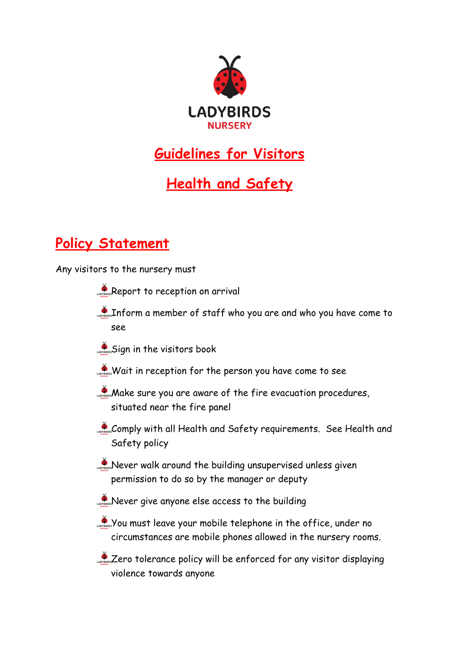

## **Guidelines for Visitors**

## **Health and Safety**

## **Policy Statement**

Any visitors to the nursery must

- Report to reception on arrival
- Inform a member of staff who you are and who you have come to see
- Sign in the visitors book
- Wait in reception for the person you have come to see
- **Make sure you are aware of the fire evacuation procedures,** situated near the fire panel
- Comply with all Health and Safety requirements. See Health and Safety policy
- Never walk around the building unsupervised unless given permission to do so by the manager or deputy
- Never give anyone else access to the building
- You must leave your mobile telephone in the office, under no circumstances are mobile phones allowed in the nursery rooms.
- Lero tolerance policy will be enforced for any visitor displaying violence towards anyone